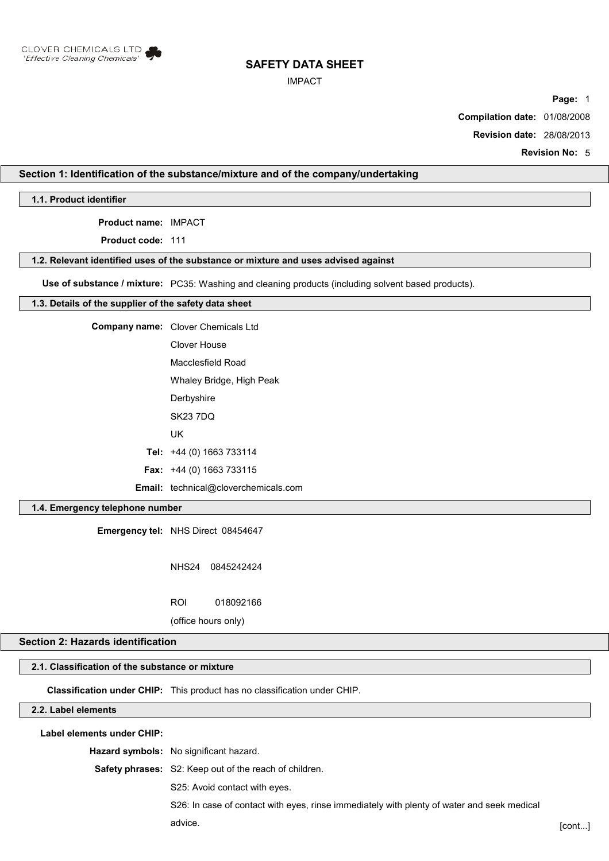

## IMPACT

**Page:** 1

**Compilation date:** 01/08/2008

**Revision date:** 28/08/2013

**Revision No:** 5

# **Section 1: Identification of the substance/mixture and of the company/undertaking**

**1.1. Product identifier**

**Product name:** IMPACT

**Product code:** 111

#### **1.2. Relevant identified uses of the substance or mixture and uses advised against**

**Use of substance / mixture:** PC35: Washing and cleaning products (including solvent based products).

#### **1.3. Details of the supplier of the safety data sheet**

| Company name: Clover Chemicals Ltd          |
|---------------------------------------------|
| Clover House                                |
| Macclesfield Road                           |
| Whaley Bridge, High Peak                    |
| Derbyshire                                  |
| <b>SK23 7DQ</b>                             |
| UK                                          |
| Tel: $+44$ (0) 1663 733114                  |
| <b>Fax:</b> $+44$ (0) 1663 733115           |
| <b>Email:</b> technical@cloverchemicals.com |

# **1.4. Emergency telephone number**

**Emergency tel:** NHS Direct 08454647

NHS24 0845242424

ROI 018092166

(office hours only)

## **Section 2: Hazards identification**

# **2.1. Classification of the substance or mixture**

**Classification under CHIP:** This product has no classification under CHIP.

# **2.2. Label elements**

**Label elements under CHIP:**

**Hazard symbols:** No significant hazard.

**Safety phrases:** S2: Keep out of the reach of children.

S25: Avoid contact with eyes.

S26: In case of contact with eyes, rinse immediately with plenty of water and seek medical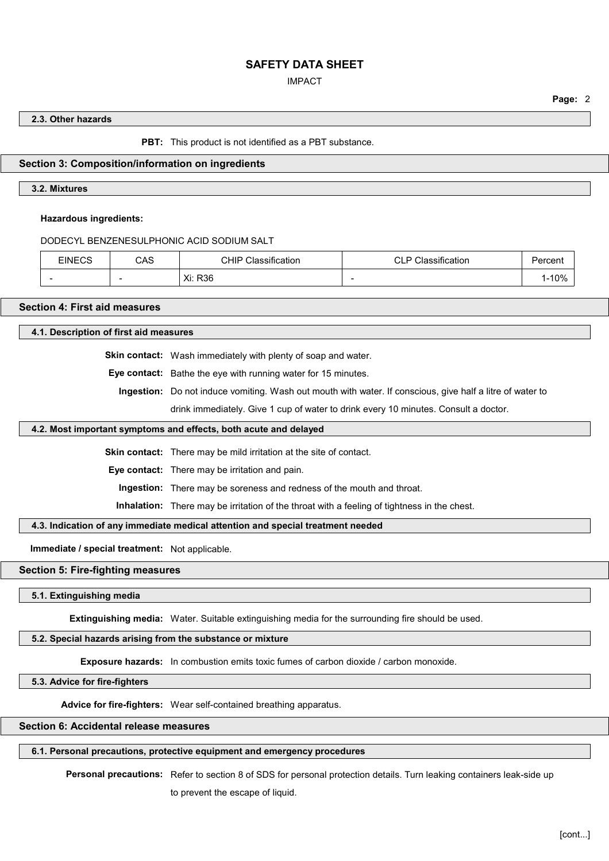# IMPACT

**Page:** 2

# **2.3. Other hazards**

**PBT:** This product is not identified as a PBT substance.

## **Section 3: Composition/information on ingredients**

## **3.2. Mixtures**

## **Hazardous ingredients:**

DODECYL BENZENESULPHONIC ACID SODIUM SALT

| <b>EINECS</b> | CAS                      | $\cdot$<br>CHIP<br>$\sim$<br>$\sim$<br>Classification | Classification<br>D<br>◡∟ | ercent? |
|---------------|--------------------------|-------------------------------------------------------|---------------------------|---------|
|               | $\overline{\phantom{a}}$ | Xi: R36                                               | $\overline{\phantom{a}}$  | 10%     |

# **Section 4: First aid measures**

**4.1. Description of first aid measures**

**Skin contact:** Wash immediately with plenty of soap and water.

**Eye contact:** Bathe the eye with running water for 15 minutes.

**Ingestion:** Do not induce vomiting. Wash out mouth with water. If conscious, give half a litre of water to

drink immediately. Give 1 cup of water to drink every 10 minutes. Consult a doctor.

## **4.2. Most important symptoms and effects, both acute and delayed**

**Skin contact:** There may be mild irritation at the site of contact.

**Eye contact:** There may be irritation and pain.

**Ingestion:** There may be soreness and redness of the mouth and throat.

**Inhalation:** There may be irritation of the throat with a feeling of tightness in the chest.

# **4.3. Indication of any immediate medical attention and special treatment needed**

**Immediate / special treatment:** Not applicable.

#### **Section 5: Fire-fighting measures**

#### **5.1. Extinguishing media**

**Extinguishing media:** Water. Suitable extinguishing media for the surrounding fire should be used.

#### **5.2. Special hazards arising from the substance or mixture**

**Exposure hazards:** In combustion emits toxic fumes of carbon dioxide / carbon monoxide.

## **5.3. Advice for fire-fighters**

**Advice for fire-fighters:** Wear self-contained breathing apparatus.

#### **Section 6: Accidental release measures**

# **6.1. Personal precautions, protective equipment and emergency procedures**

**Personal precautions:** Refer to section 8 of SDS for personal protection details. Turn leaking containers leak-side up to prevent the escape of liquid.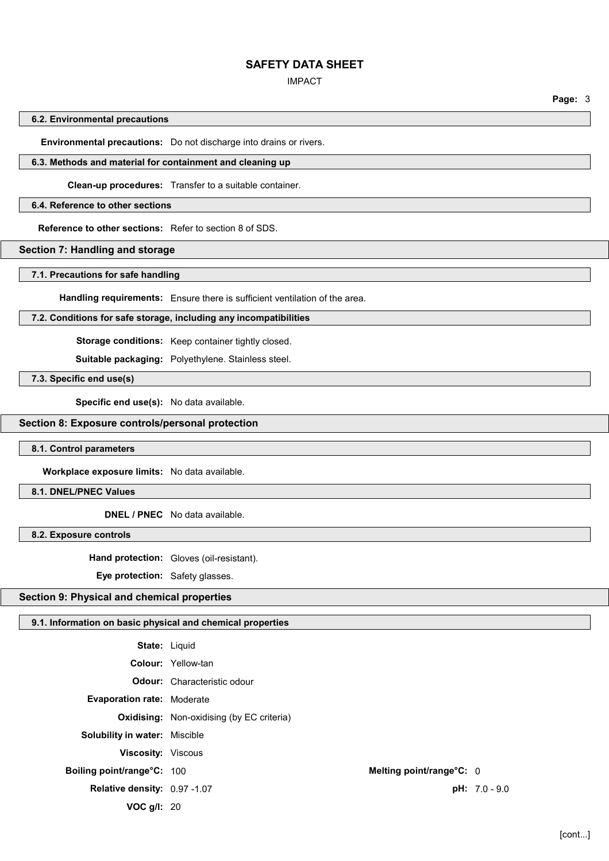#### IMPACT

**Page:** 3

### **6.2. Environmental precautions**

**Environmental precautions:** Do not discharge into drains or rivers.

#### **6.3. Methods and material for containment and cleaning up**

**Clean-up procedures:** Transfer to a suitable container.

#### **6.4. Reference to other sections**

**Reference to other sections:** Refer to section 8 of SDS.

# **Section 7: Handling and storage**

## **7.1. Precautions for safe handling**

**Handling requirements:** Ensure there is sufficient ventilation of the area.

# **7.2. Conditions for safe storage, including any incompatibilities**

**Storage conditions:** Keep container tightly closed.

**Suitable packaging:** Polyethylene. Stainless steel.

**7.3. Specific end use(s)**

**Specific end use(s):** No data available.

#### **Section 8: Exposure controls/personal protection**

#### **8.1. Control parameters**

**Workplace exposure limits:** No data available.

## **8.1. DNEL/PNEC Values**

**DNEL / PNEC** No data available.

**8.2. Exposure controls**

**Hand protection:** Gloves (oil-resistant).

**Eye protection:** Safety glasses.

# **Section 9: Physical and chemical properties**

## **9.1. Information on basic physical and chemical properties**

|                                      | <b>State: Liguid</b>                             |                 |
|--------------------------------------|--------------------------------------------------|-----------------|
|                                      | <b>Colour:</b> Yellow-tan                        |                 |
|                                      | <b>Odour:</b> Characteristic odour               |                 |
| <b>Evaporation rate: Moderate</b>    |                                                  |                 |
|                                      | <b>Oxidising:</b> Non-oxidising (by EC criteria) |                 |
| <b>Solubility in water: Miscible</b> |                                                  |                 |
| <b>Viscosity: Viscous</b>            |                                                  |                 |
| Boiling point/range°C: 100           | Melting point/range°C: 0                         |                 |
| Relative density: 0.97 -1.07         |                                                  | $pH: 7.0 - 9.0$ |
| VOC $q/l$ : 20                       |                                                  |                 |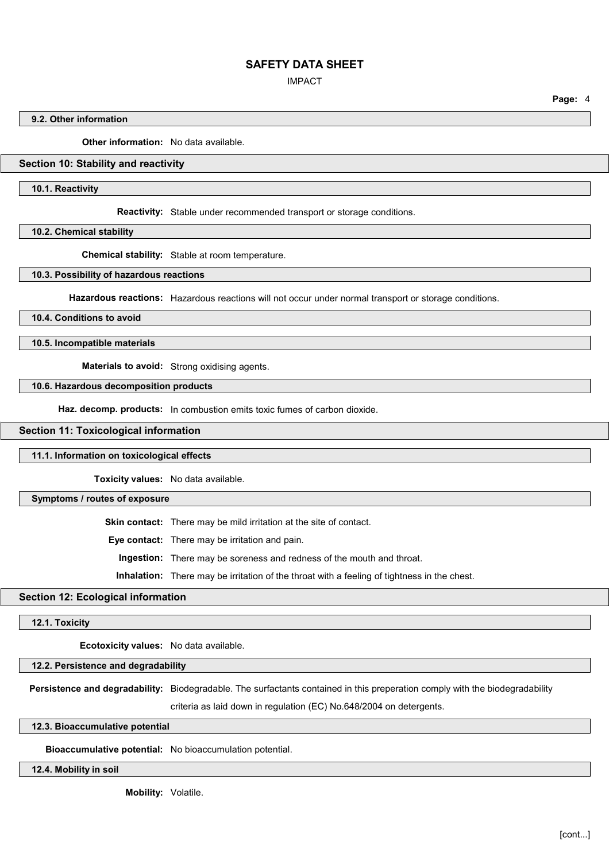IMPACT

**Page:** 4

## **9.2. Other information**

**Other information:** No data available.

# **Section 10: Stability and reactivity**

**10.1. Reactivity**

**Reactivity:** Stable under recommended transport or storage conditions.

**10.2. Chemical stability**

**Chemical stability:** Stable at room temperature.

**10.3. Possibility of hazardous reactions**

**Hazardous reactions:** Hazardous reactions will not occur under normal transport or storage conditions.

**10.4. Conditions to avoid**

**10.5. Incompatible materials**

**Materials to avoid:** Strong oxidising agents.

**10.6. Hazardous decomposition products**

**Haz. decomp. products:** In combustion emits toxic fumes of carbon dioxide.

**Section 11: Toxicological information**

**11.1. Information on toxicological effects**

**Toxicity values:** No data available.

**Symptoms / routes of exposure**

**Skin contact:** There may be mild irritation at the site of contact.

**Eye contact:** There may be irritation and pain.

**Ingestion:** There may be soreness and redness of the mouth and throat.

**Inhalation:** There may be irritation of the throat with a feeling of tightness in the chest.

# **Section 12: Ecological information**

**12.1. Toxicity**

**Ecotoxicity values:** No data available.

**12.2. Persistence and degradability**

**Persistence and degradability:** Biodegradable. The surfactants contained in this preperation comply with the biodegradability

criteria as laid down in regulation (EC) No.648/2004 on detergents.

**12.3. Bioaccumulative potential**

**Bioaccumulative potential:** No bioaccumulation potential.

**12.4. Mobility in soil**

**Mobility:** Volatile.